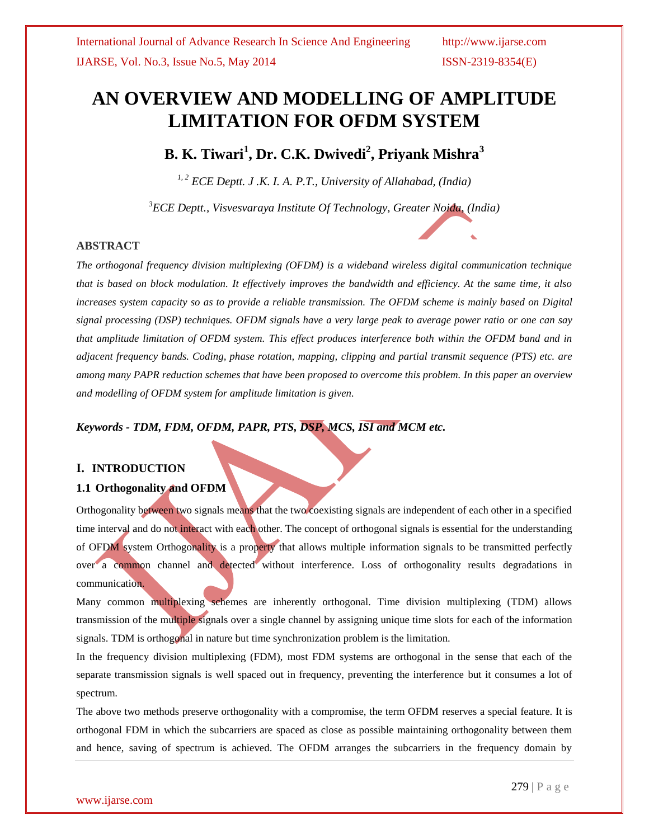# **AN OVERVIEW AND MODELLING OF AMPLITUDE LIMITATION FOR OFDM SYSTEM**

## **B. K. Tiwari<sup>1</sup> , Dr. C.K. Dwivedi<sup>2</sup> , Priyank Mishra<sup>3</sup>**

*1, 2 ECE Deptt. J .K. I. A. P.T., University of Allahabad, (India)*

*<sup>3</sup>ECE Deptt., Visvesvaraya Institute Of Technology, Greater Noida, (India)*

#### **ABSTRACT**

*The orthogonal frequency division multiplexing (OFDM) is a wideband wireless digital communication technique that is based on block modulation. It effectively improves the bandwidth and efficiency. At the same time, it also*  increases system capacity so as to provide a reliable transmission. The OFDM scheme is mainly based on Digital *signal processing (DSP) techniques. OFDM signals have a very large peak to average power ratio or one can say that amplitude limitation of OFDM system. This effect produces interference both within the OFDM band and in adjacent frequency bands. Coding, phase rotation, mapping, clipping and partial transmit sequence (PTS) etc. are among many PAPR reduction schemes that have been proposed to overcome this problem. In this paper an overview and modelling of OFDM system for amplitude limitation is given.*

### *Keywords - TDM, FDM, OFDM, PAPR, PTS, DSP, MCS, ISI and MCM etc.*

#### **I. INTRODUCTION**

### **1.1 Orthogonality and OFDM**

Orthogonality between two signals means that the two coexisting signals are independent of each other in a specified time interval and do not interact with each other. The concept of orthogonal signals is essential for the understanding of OFDM system Orthogonality is a property that allows multiple information signals to be transmitted perfectly over a common channel and detected without interference. Loss of orthogonality results degradations in communication.

Many common multiplexing schemes are inherently orthogonal. Time division multiplexing (TDM) allows transmission of the multiple signals over a single channel by assigning unique time slots for each of the information signals. TDM is orthogonal in nature but time synchronization problem is the limitation.

In the frequency division multiplexing (FDM), most FDM systems are orthogonal in the sense that each of the separate transmission signals is well spaced out in frequency, preventing the interference but it consumes a lot of spectrum.

The above two methods preserve orthogonality with a compromise, the term OFDM reserves a special feature. It is orthogonal FDM in which the subcarriers are spaced as close as possible maintaining orthogonality between them and hence, saving of spectrum is achieved. The OFDM arranges the subcarriers in the frequency domain by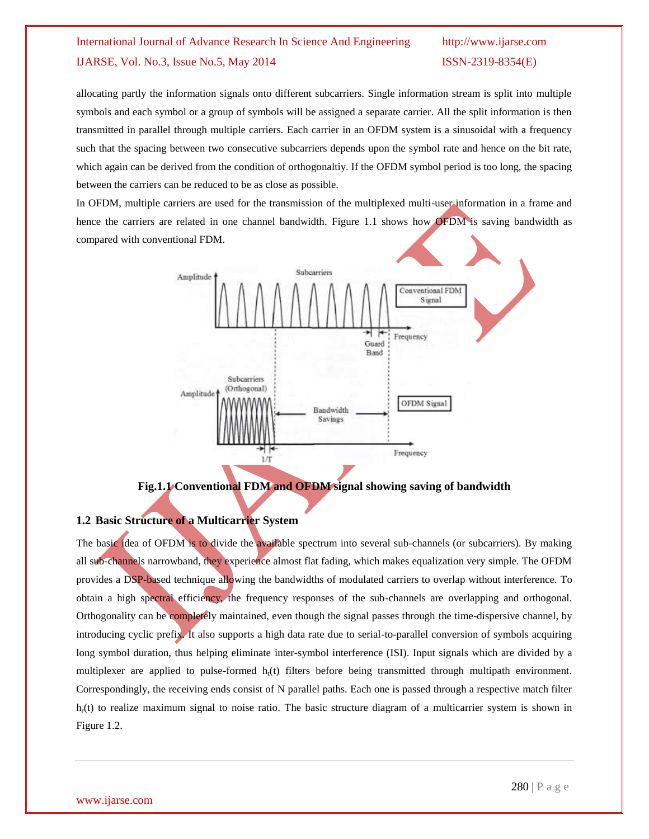## International Journal of Advance Research In Science And Engineering http://www.ijarse.com IJARSE, Vol. No.3, Issue No.5, May 2014 ISSN-2319-8354(E)

allocating partly the information signals onto different subcarriers. Single information stream is split into multiple symbols and each symbol or a group of symbols will be assigned a separate carrier. All the split information is then transmitted in parallel through multiple carriers. Each carrier in an OFDM system is a sinusoidal with a frequency such that the spacing between two consecutive subcarriers depends upon the symbol rate and hence on the bit rate, which again can be derived from the condition of orthogonaltiy. If the OFDM symbol period is too long, the spacing between the carriers can be reduced to be as close as possible.

In OFDM, multiple carriers are used for the transmission of the multiplexed multi-user information in a frame and hence the carriers are related in one channel bandwidth. Figure 1.1 shows how OFDM is saving bandwidth as compared with conventional FDM.



**Fig.1.1 Conventional FDM and OFDM signal showing saving of bandwidth**

## **1.2 Basic Structure of a Multicarrier System**

The basic idea of OFDM is to divide the available spectrum into several sub-channels (or subcarriers). By making all sub-channels narrowband, they experience almost flat fading, which makes equalization very simple. The OFDM provides a DSP-based technique allowing the bandwidths of modulated carriers to overlap without interference. To obtain a high spectral efficiency, the frequency responses of the sub-channels are overlapping and orthogonal. Orthogonality can be completely maintained, even though the signal passes through the time-dispersive channel, by introducing cyclic prefix. It also supports a high data rate due to serial-to-parallel conversion of symbols acquiring long symbol duration, thus helping eliminate inter-symbol interference (ISI). Input signals which are divided by a multiplexer are applied to pulse-formed  $h_i(t)$  filters before being transmitted through multipath environment. Correspondingly, the receiving ends consist of N parallel paths. Each one is passed through a respective match filter  $h<sub>r</sub>(t)$  to realize maximum signal to noise ratio. The basic structure diagram of a multicarrier system is shown in Figure 1.2.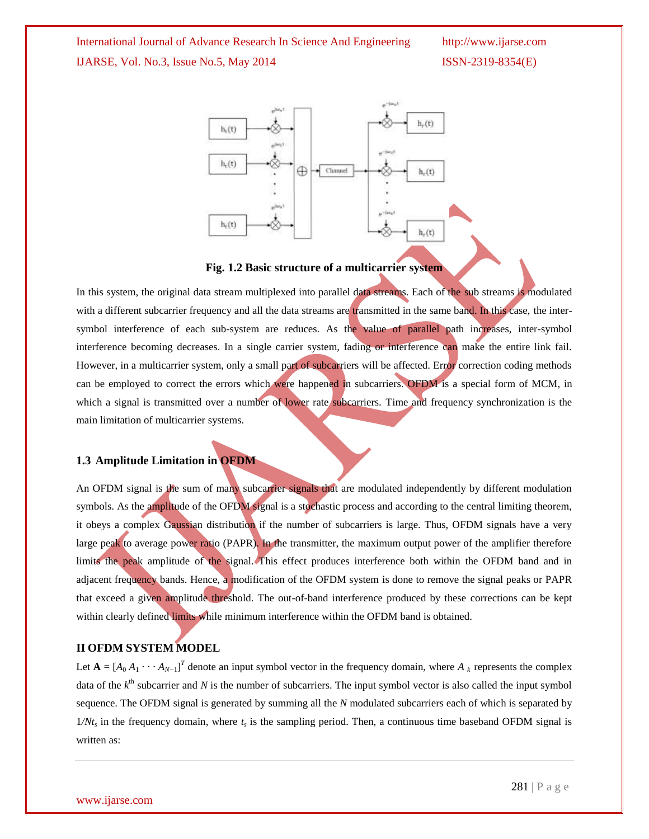International Journal of Advance Research In Science And Engineering http://www.ijarse.com IJARSE, Vol. No.3, Issue No.5, May 2014 ISSN-2319-8354(E)



#### **Fig. 1.2 Basic structure of a multicarrier system**

In this system, the original data stream multiplexed into parallel data streams. Each of the sub streams is modulated with a different subcarrier frequency and all the data streams are transmitted in the same band. In this case, the intersymbol interference of each sub-system are reduces. As the value of parallel path increases, inter-symbol interference becoming decreases. In a single carrier system, fading or interference can make the entire link fail. However, in a multicarrier system, only a small part of subcarriers will be affected. Error correction coding methods can be employed to correct the errors which were happened in subcarriers. OFDM is a special form of MCM, in which a signal is transmitted over a number of lower rate subcarriers. Time and frequency synchronization is the main limitation of multicarrier systems.

#### **1.3 Amplitude Limitation in OFDM**

An OFDM signal is the sum of many subcarrier signals that are modulated independently by different modulation symbols. As the amplitude of the OFDM signal is a stochastic process and according to the central limiting theorem, it obeys a complex Gaussian distribution if the number of subcarriers is large. Thus, OFDM signals have a very large peak to average power ratio (PAPR). In the transmitter, the maximum output power of the amplifier therefore limits the peak amplitude of the signal. This effect produces interference both within the OFDM band and in adjacent frequency bands. Hence, a modification of the OFDM system is done to remove the signal peaks or PAPR that exceed a given amplitude threshold. The out-of-band interference produced by these corrections can be kept within clearly defined limits while minimum interference within the OFDM band is obtained.

#### **II OFDM SYSTEM MODEL**

Let  $\mathbf{A} = [A_0 A_1 \cdots A_{N-1}]^T$  denote an input symbol vector in the frequency domain, where  $A_k$  represents the complex data of the  $k^{\text{th}}$  subcarrier and *N* is the number of subcarriers. The input symbol vector is also called the input symbol sequence. The OFDM signal is generated by summing all the *N* modulated subcarriers each of which is separated by  $1/Nt_s$  in the frequency domain, where  $t_s$  is the sampling period. Then, a continuous time baseband OFDM signal is written as: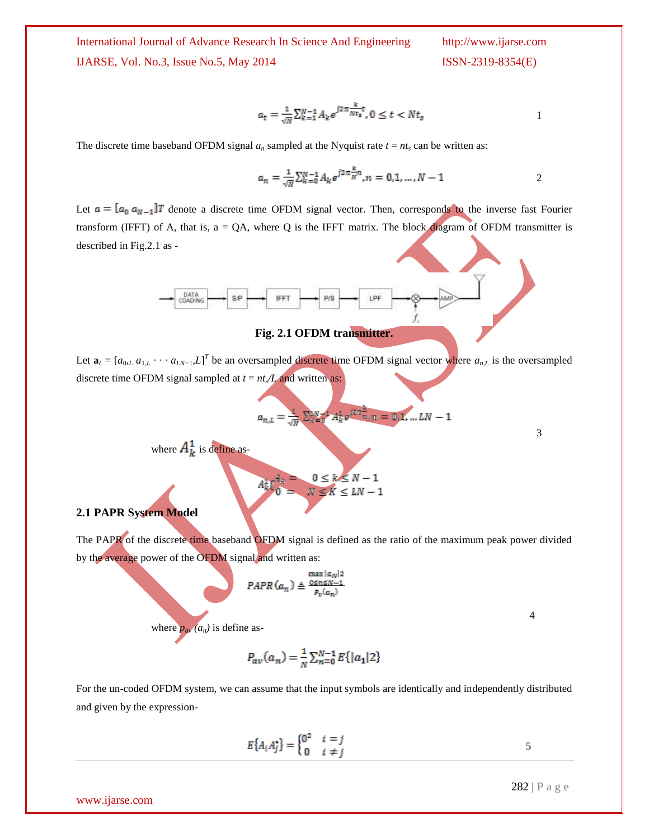International Journal of Advance Research In Science And Engineering IJARSE, Vol. No.3, Issue No.5, May 2014

$$
a_t = \frac{1}{\sqrt{N}} \sum_{k=1}^{N-1} A_k e^{j2\pi \frac{k}{N t_s} t}, 0 \le t < N t_s
$$

The discrete time baseband OFDM signal  $a_n$  sampled at the Nyquist rate  $t = nt_s$  can be written as:

$$
a_n = \frac{1}{\sqrt{N}} \sum_{k=0}^{N-1} A_k e^{j2\pi \frac{\kappa}{N}n}, n = 0, 1, ..., N-1
$$

Let  $a = [a_0 a_{N-1}]T$  denote a discrete time OFDM signal vector. Then, corresponds to the inverse fast Fourier transform (IFFT) of A, that is,  $a = QA$ , where Q is the IFFT matrix. The block diagram of OFDM transmitter is described in Fig.2.1 as -



**Fig. 2.1 OFDM transmitter.**

Let  $\mathbf{a}_L = [a_{0L} a_{1,L} \cdots a_{LN-1}, L]^T$  be an oversampled discrete time OFDM signal vector where  $a_{n,L}$  is the oversampled discrete time OFDM signal sampled at  $t = nt<sub>s</sub>/L$  and written as:

$$
a_{n,L} = \frac{4}{\sqrt{N}} \sum_{k=0}^{N} A_k^4 e^{j2\pi \frac{k}{n}}, n = 0,1,...LN - 1
$$
  
where  $A_k^1$  is define as  

$$
A_k^1 C_k^4 = \frac{0 \le k \le N - 1}{N \le K \le LN - 1}
$$

#### **2.1 PAPR System Model**

The PAPR of the discrete time baseband OFDM signal is defined as the ratio of the maximum peak power divided by the average power of the OFDM signal and written as:

$$
PAPR(a_n) \triangleq \frac{\max |a_N|}{p_v(a_n)}
$$

4

3

where  $p_{av}(a_n)$  is define as-

$$
P_{av}(a_n) = \frac{1}{N} \sum_{n=0}^{N-1} E\{|a_1|2\}
$$

For the un-coded OFDM system, we can assume that the input symbols are identically and independently distributed and given by the expression-

$$
E\{A_i A_j^*\} = \begin{cases} 0^2 & i = j \\ 0 & i \neq j \end{cases} \tag{5}
$$

www.ijarse.com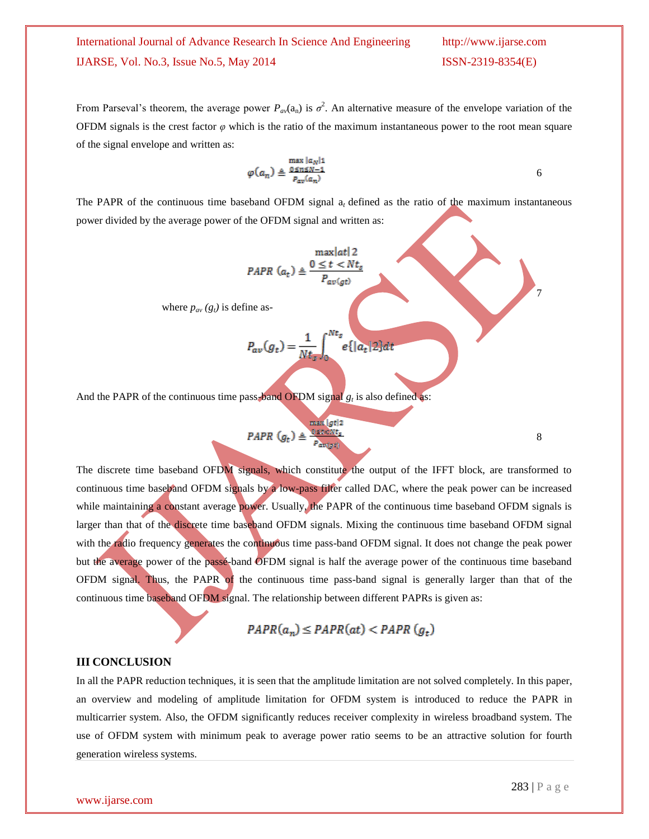## International Journal of Advance Research In Science And Engineering http://www.ijarse.com IJARSE, Vol. No.3, Issue No.5, May 2014 ISSN-2319-8354(E)

7

8

From Parseval's theorem, the average power  $P_{av}(a_n)$  is  $\sigma^2$ . An alternative measure of the envelope variation of the OFDM signals is the crest factor  $\varphi$  which is the ratio of the maximum instantaneous power to the root mean square of the signal envelope and written as:

$$
\varphi(a_n) \triangleq \frac{\max_{|a_N|1} |a_N|}{P_{av}(a_n)}
$$
 6

The PAPR of the continuous time baseband OFDM signal  $a_t$  defined as the ratio of the maximum instantaneous power divided by the average power of the OFDM signal and written as:

$$
PAPR (a_t) \triangleq \frac{\max|at|2}{P_{av(gt)}}
$$

where  $p_{av}(g_t)$  is define as-

$$
P_{av}(g_t) = \frac{1}{Nt_s} \int_0^{Nt_s} e\{|a_t| \, 2\} d
$$

And the PAPR of the continuous time pass-band OFDM signal  $g_t$  is also defined as:

$$
PAPR (g_t) \triangleq \frac{\max |gt|}{P_{\text{avg}}(t)}
$$

The discrete time baseband OFDM signals, which constitute the output of the IFFT block, are transformed to continuous time baseband OFDM signals by a low-pass filter called DAC, where the peak power can be increased while maintaining a constant average power. Usually, the PAPR of the continuous time baseband OFDM signals is larger than that of the discrete time baseband OFDM signals. Mixing the continuous time baseband OFDM signal with the radio frequency generates the continuous time pass-band OFDM signal. It does not change the peak power but the average power of the passé-band OFDM signal is half the average power of the continuous time baseband OFDM signal. Thus, the PAPR of the continuous time pass-band signal is generally larger than that of the continuous time baseband OFDM signal. The relationship between different PAPRs is given as:

## $PAPR(a_n) \leq PAPR(at) < PAPR(g_t)$

#### **III CONCLUSION**

In all the PAPR reduction techniques, it is seen that the amplitude limitation are not solved completely. In this paper, an overview and modeling of amplitude limitation for OFDM system is introduced to reduce the PAPR in multicarrier system. Also, the OFDM significantly reduces receiver complexity in wireless broadband system. The use of OFDM system with minimum peak to average power ratio seems to be an attractive solution for fourth generation wireless systems.